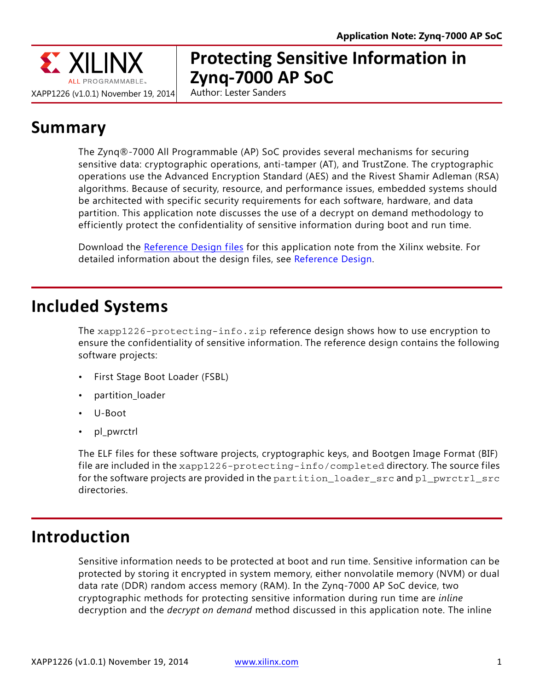

# **Protecting Sensitive Information in Zynq-7000 AP SoC**

Author: Lester Sanders

# **Summary**

The Zynq®-7000 All Programmable (AP) SoC provides several mechanisms for securing sensitive data: cryptographic operations, anti-tamper (AT), and TrustZone. The cryptographic operations use the Advanced Encryption Standard (AES) and the Rivest Shamir Adleman (RSA) algorithms. Because of security, resource, and performance issues, embedded systems should be architected with specific security requirements for each software, hardware, and data partition. This application note discusses the use of a decrypt on demand methodology to efficiently protect the confidentiality of sensitive information during boot and run time.

Download the [Reference Design files](https://secure.xilinx.com/webreg/clickthrough.do?cid=375910) for this application note from the Xilinx website. For detailed information about the design files, see [Reference Design.](#page-11-0)

## **Included Systems**

The xapp1226-protecting-info.zip reference design shows how to use encryption to ensure the confidentiality of sensitive information. The reference design contains the following software projects:

- First Stage Boot Loader (FSBL)
- partition loader
- U-Boot
- pl\_pwrctrl

The ELF files for these software projects, cryptographic keys, and Bootgen Image Format (BIF) file are included in the xapp1226-protecting-info/completed directory. The source files for the software projects are provided in the partition\_loader\_src and pl\_pwrctrl\_src directories.

## **Introduction**

Sensitive information needs to be protected at boot and run time. Sensitive information can be protected by storing it encrypted in system memory, either nonvolatile memory (NVM) or dual data rate (DDR) random access memory (RAM). In the Zynq-7000 AP SoC device, two cryptographic methods for protecting sensitive information during run time are *inline* decryption and the *decrypt on demand* method discussed in this application note. The inline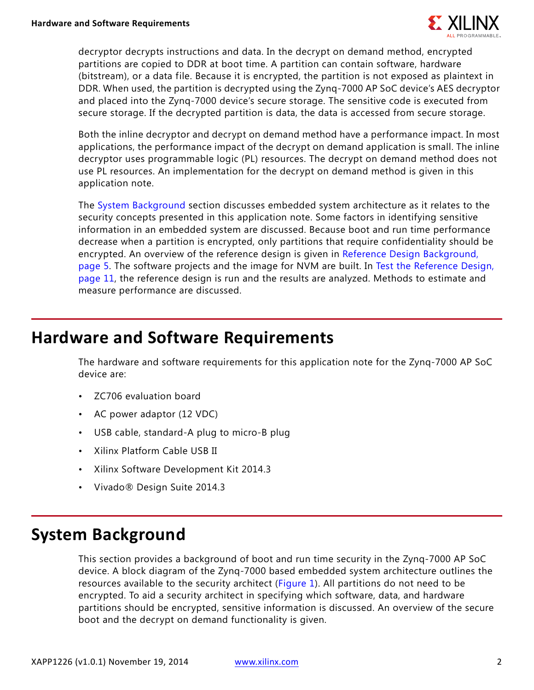

decryptor decrypts instructions and data. In the decrypt on demand method, encrypted partitions are copied to DDR at boot time. A partition can contain software, hardware (bitstream), or a data file. Because it is encrypted, the partition is not exposed as plaintext in DDR. When used, the partition is decrypted using the Zynq-7000 AP SoC device's AES decryptor and placed into the Zynq-7000 device's secure storage. The sensitive code is executed from secure storage. If the decrypted partition is data, the data is accessed from secure storage.

Both the inline decryptor and decrypt on demand method have a performance impact. In most applications, the performance impact of the decrypt on demand application is small. The inline decryptor uses programmable logic (PL) resources. The decrypt on demand method does not use PL resources. An implementation for the decrypt on demand method is given in this application note.

The [System Background](#page-1-0) section discusses embedded system architecture as it relates to the security concepts presented in this application note. Some factors in identifying sensitive information in an embedded system are discussed. Because boot and run time performance decrease when a partition is encrypted, only partitions that require confidentiality should be encrypted. An overview of the reference design is given in [Reference Design Background,](#page-4-0)  [page 5](#page-4-0). The software projects and the image for NVM are built. In [Test the Reference Design,](#page-10-0)  [page 11](#page-10-0), the reference design is run and the results are analyzed. Methods to estimate and measure performance are discussed.

## **Hardware and Software Requirements**

The hardware and software requirements for this application note for the Zynq-7000 AP SoC device are:

- ZC706 evaluation board
- AC power adaptor (12 VDC)
- USB cable, standard-A plug to micro-B plug
- Xilinx Platform Cable USB II
- Xilinx Software Development Kit 2014.3
- Vivado® Design Suite 2014.3

## <span id="page-1-0"></span>**System Background**

This section provides a background of boot and run time security in the Zynq-7000 AP SoC device. A block diagram of the Zynq-7000 based embedded system architecture outlines the resources available to the security architect ([Figure 1](#page-3-0)). All partitions do not need to be encrypted. To aid a security architect in specifying which software, data, and hardware partitions should be encrypted, sensitive information is discussed. An overview of the secure boot and the decrypt on demand functionality is given.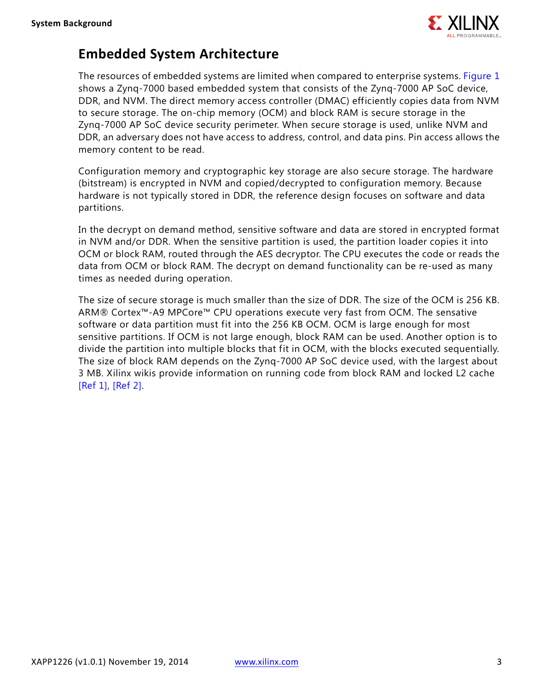

### **Embedded System Architecture**

The resources of embedded systems are limited when compared to enterprise systems. [Figure 1](#page-3-1) shows a Zynq-7000 based embedded system that consists of the Zynq-7000 AP SoC device, DDR, and NVM. The direct memory access controller (DMAC) efficiently copies data from NVM to secure storage. The on-chip memory (OCM) and block RAM is secure storage in the Zynq-7000 AP SoC device security perimeter. When secure storage is used, unlike NVM and DDR, an adversary does not have access to address, control, and data pins. Pin access allows the memory content to be read.

Configuration memory and cryptographic key storage are also secure storage. The hardware (bitstream) is encrypted in NVM and copied/decrypted to configuration memory. Because hardware is not typically stored in DDR, the reference design focuses on software and data partitions.

In the decrypt on demand method, sensitive software and data are stored in encrypted format in NVM and/or DDR. When the sensitive partition is used, the partition loader copies it into OCM or block RAM, routed through the AES decryptor. The CPU executes the code or reads the data from OCM or block RAM. The decrypt on demand functionality can be re-used as many times as needed during operation.

The size of secure storage is much smaller than the size of DDR. The size of the OCM is 256 KB. ARM® Cortex™-A9 MPCore™ CPU operations execute very fast from OCM. The sensative software or data partition must fit into the 256 KB OCM. OCM is large enough for most sensitive partitions. If OCM is not large enough, block RAM can be used. Another option is to divide the partition into multiple blocks that fit in OCM, with the blocks executed sequentially. The size of block RAM depends on the Zynq-7000 AP SoC device used, with the largest about 3 MB. Xilinx wikis provide information on running code from block RAM and locked L2 cache [\[Ref 1\]](#page-12-0), [\[Ref 2\].](#page-12-1)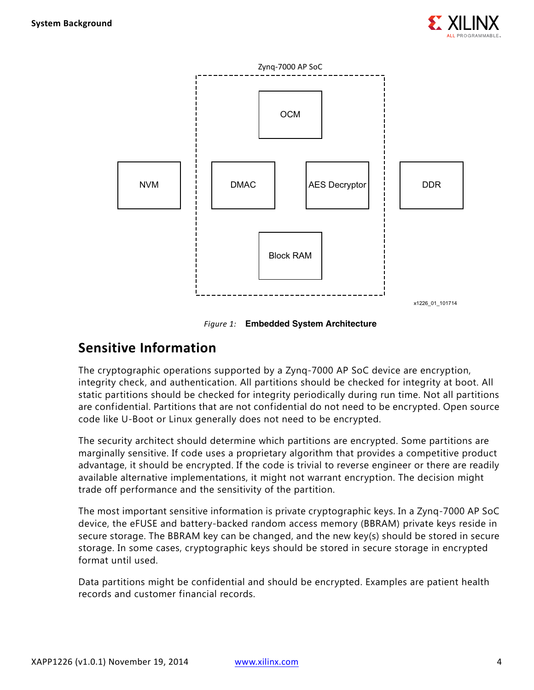

<span id="page-3-0"></span>

*Figure 1:* **Embedded System Architecture**

### <span id="page-3-1"></span>**Sensitive Information**

The cryptographic operations supported by a Zynq-7000 AP SoC device are encryption, integrity check, and authentication. All partitions should be checked for integrity at boot. All static partitions should be checked for integrity periodically during run time. Not all partitions are confidential. Partitions that are not confidential do not need to be encrypted. Open source code like U-Boot or Linux generally does not need to be encrypted.

The security architect should determine which partitions are encrypted. Some partitions are marginally sensitive. If code uses a proprietary algorithm that provides a competitive product advantage, it should be encrypted. If the code is trivial to reverse engineer or there are readily available alternative implementations, it might not warrant encryption. The decision might trade off performance and the sensitivity of the partition.

The most important sensitive information is private cryptographic keys. In a Zynq-7000 AP SoC device, the eFUSE and battery-backed random access memory (BBRAM) private keys reside in secure storage. The BBRAM key can be changed, and the new key(s) should be stored in secure storage. In some cases, cryptographic keys should be stored in secure storage in encrypted format until used.

Data partitions might be confidential and should be encrypted. Examples are patient health records and customer financial records.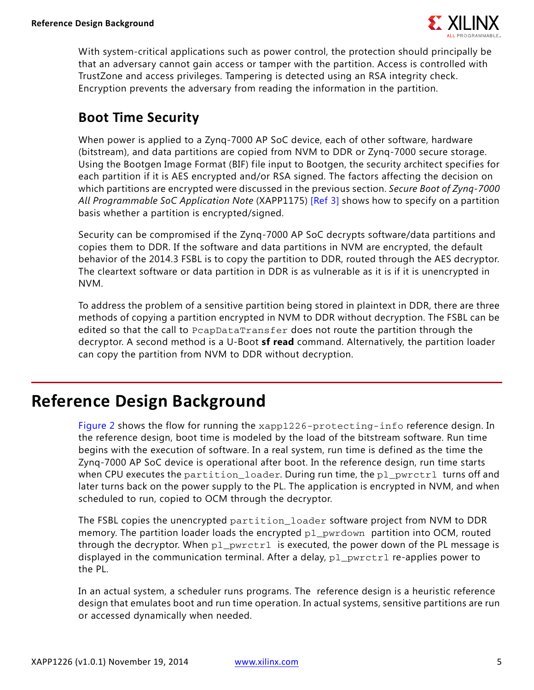

With system-critical applications such as power control, the protection should principally be that an adversary cannot gain access or tamper with the partition. Access is controlled with TrustZone and access privileges. Tampering is detected using an RSA integrity check. Encryption prevents the adversary from reading the information in the partition.

### **Boot Time Security**

When power is applied to a Zynq-7000 AP SoC device, each of other software, hardware (bitstream), and data partitions are copied from NVM to DDR or Zynq-7000 secure storage. Using the Bootgen Image Format (BIF) file input to Bootgen, the security architect specifies for each partition if it is AES encrypted and/or RSA signed. The factors affecting the decision on which partitions are encrypted were discussed in the previous section. *Secure Boot of Zynq-7000 All Programmable SoC Application Note* (XAPP1175) [\[Ref 3\]](#page-12-2) shows how to specify on a partition basis whether a partition is encrypted/signed.

Security can be compromised if the Zynq-7000 AP SoC decrypts software/data partitions and copies them to DDR. If the software and data partitions in NVM are encrypted, the default behavior of the 2014.3 FSBL is to copy the partition to DDR, routed through the AES decryptor. The cleartext software or data partition in DDR is as vulnerable as it is if it is unencrypted in NVM.

To address the problem of a sensitive partition being stored in plaintext in DDR, there are three methods of copying a partition encrypted in NVM to DDR without decryption. The FSBL can be edited so that the call to PcapDataTransfer does not route the partition through the decryptor. A second method is a U-Boot **sf read** command. Alternatively, the partition loader can copy the partition from NVM to DDR without decryption.

# <span id="page-4-0"></span>**Reference Design Background**

[Figure 2](#page-5-0) shows the flow for running the xapp1226-protecting-info reference design. In the reference design, boot time is modeled by the load of the bitstream software. Run time begins with the execution of software. In a real system, run time is defined as the time the Zynq-7000 AP SoC device is operational after boot. In the reference design, run time starts when CPU executes the partition\_loader. During run time, the pl\_pwrctrl turns off and later turns back on the power supply to the PL. The application is encrypted in NVM, and when scheduled to run, copied to OCM through the decryptor.

The FSBL copies the unencrypted partition\_loader software project from NVM to DDR memory. The partition loader loads the encrypted  $p1_p$ wrdown partition into OCM, routed through the decryptor. When  $p_1$  pwrctrl is executed, the power down of the PL message is displayed in the communication terminal. After a delay,  $p1_pwrctr1$  re-applies power to the PL.

In an actual system, a scheduler runs programs. The reference design is a heuristic reference design that emulates boot and run time operation. In actual systems, sensitive partitions are run or accessed dynamically when needed.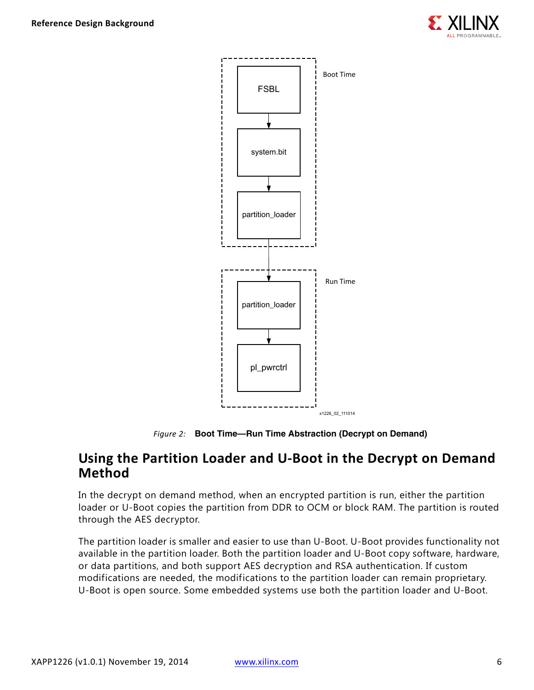



*Figure 2:* **Boot Time—Run Time Abstraction (Decrypt on Demand)**

### <span id="page-5-0"></span>**Using the Partition Loader and U-Boot in the Decrypt on Demand Method**

In the decrypt on demand method, when an encrypted partition is run, either the partition loader or U-Boot copies the partition from DDR to OCM or block RAM. The partition is routed through the AES decryptor.

The partition loader is smaller and easier to use than U-Boot. U-Boot provides functionality not available in the partition loader. Both the partition loader and U-Boot copy software, hardware, or data partitions, and both support AES decryption and RSA authentication. If custom modifications are needed, the modifications to the partition loader can remain proprietary. U-Boot is open source. Some embedded systems use both the partition loader and U-Boot.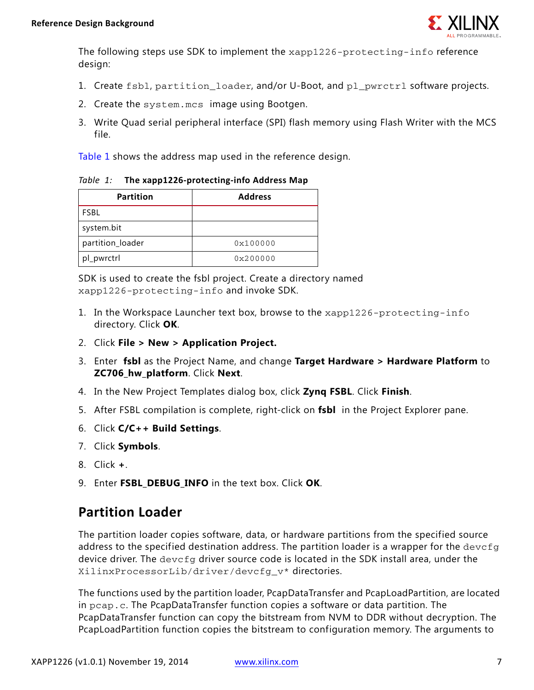

The following steps use SDK to implement the xapp1226-protecting-info reference design:

- 1. Create fsbl, partition\_loader, and/or U-Boot, and pl\_pwrctrl software projects.
- 2. Create the system.mcs image using Bootgen.
- 3. Write Quad serial peripheral interface (SPI) flash memory using Flash Writer with the MCS file.

[Table 1](#page-6-0) shows the address map used in the reference design.

<span id="page-6-0"></span>*Table 1:* **The xapp1226-protecting-info Address Map**

| <b>Partition</b> | <b>Address</b> |
|------------------|----------------|
| <b>FSBL</b>      |                |
| system.bit       |                |
| partition_loader | 0x100000       |
| pl_pwrctrl       | 0x200000       |

SDK is used to create the fsbl project. Create a directory named xapp1226-protecting-info and invoke SDK.

- 1. In the Workspace Launcher text box, browse to the xapp1226-protecting-info directory. Click **OK**.
- 2. Click **File > New > Application Project.**
- 3. Enter **fsbl** as the Project Name, and change **Target Hardware > Hardware Platform** to **ZC706\_hw\_platform**. Click **Next**.
- 4. In the New Project Templates dialog box, click **Zynq FSBL**. Click **Finish**.
- 5. After FSBL compilation is complete, right-click on **fsbl** in the Project Explorer pane.
- 6. Click **C/C++ Build Settings**.
- 7. Click **Symbols**.
- 8. Click **+**.
- 9. Enter **FSBL\_DEBUG\_INFO** in the text box. Click **OK**.

### **Partition Loader**

The partition loader copies software, data, or hardware partitions from the specified source address to the specified destination address. The partition loader is a wrapper for the devcfg device driver. The devcfg driver source code is located in the SDK install area, under the XilinxProcessorLib/driver/devcfg\_v\* directories.

The functions used by the partition loader, PcapDataTransfer and PcapLoadPartition, are located in pcap.c. The PcapDataTransfer function copies a software or data partition. The PcapDataTransfer function can copy the bitstream from NVM to DDR without decryption. The PcapLoadPartition function copies the bitstream to configuration memory. The arguments to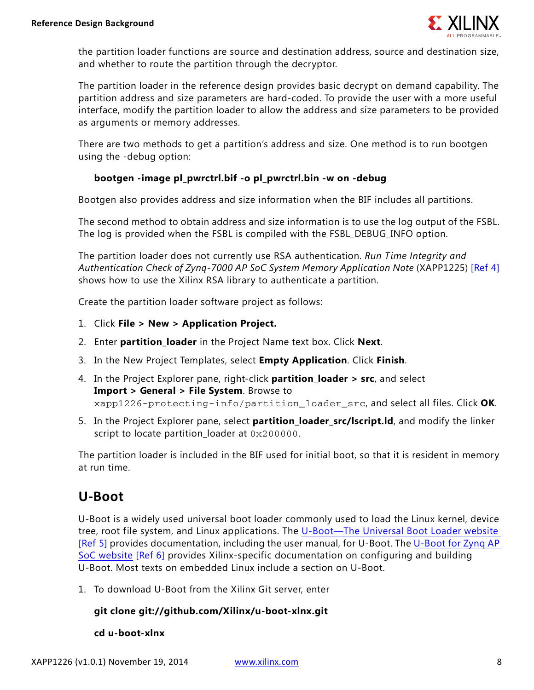

the partition loader functions are source and destination address, source and destination size, and whether to route the partition through the decryptor.

The partition loader in the reference design provides basic decrypt on demand capability. The partition address and size parameters are hard-coded. To provide the user with a more useful interface, modify the partition loader to allow the address and size parameters to be provided as arguments or memory addresses.

There are two methods to get a partition's address and size. One method is to run bootgen using the -debug option:

#### **bootgen -image pl\_pwrctrl.bif -o pl\_pwrctrl.bin -w on -debug**

Bootgen also provides address and size information when the BIF includes all partitions.

The second method to obtain address and size information is to use the log output of the FSBL. The log is provided when the FSBL is compiled with the FSBL\_DEBUG\_INFO option.

The partition loader does not currently use RSA authentication. *Run Time Integrity and Authentication Check of Zynq-7000 AP SoC System Memory Application Note* (XAPP1225) [\[Ref 4\]](#page-12-3) shows how to use the Xilinx RSA library to authenticate a partition.

Create the partition loader software project as follows:

- 1. Click **File > New > Application Project.**
- 2. Enter **partition\_loader** in the Project Name text box. Click **Next**.
- 3. In the New Project Templates, select **Empty Application**. Click **Finish**.
- 4. In the Project Explorer pane, right-click **partition\_loader > src**, and select **Import > General > File System**. Browse to xapp1226-protecting-info/partition\_loader\_src, and select all files. Click **OK**.
- 5. In the Project Explorer pane, select **partition\_loader\_src/lscript.ld**, and modify the linker script to locate partition\_loader at 0x200000.

The partition loader is included in the BIF used for initial boot, so that it is resident in memory at run time.

### **U-Boot**

U-Boot is a widely used universal boot loader commonly used to load the Linux kernel, device tree, root file system, and Linux applications. The [U-Boot—The Universal Boot Loader website](www.denx.de/wiki/U-Boot)  [\[Ref 5\]](#page-12-4) provides documentation, including the user manual, for U-Boot. The U-Boot for Zyng AP SoC website [\[Ref 6\]](#page-12-5) provides Xilinx-specific documentation on configuring and building U-Boot. Most texts on embedded Linux include a section on U-Boot.

1. To download U-Boot from the Xilinx Git server, enter

#### **git clone git://github.com/Xilinx/u-boot-xlnx.git**

**cd u-boot-xlnx**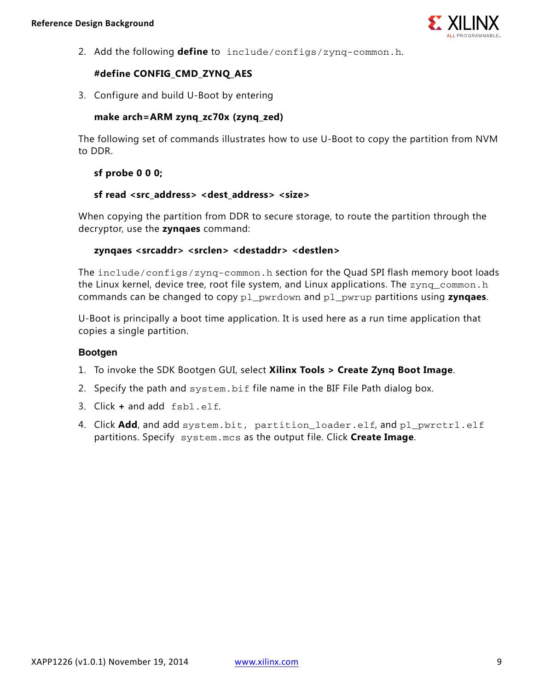

2. Add the following **define** to include/configs/zynq-common.h.

#### **#define CONFIG\_CMD\_ZYNQ\_AES**

3. Configure and build U-Boot by entering

#### **make arch=ARM zynq\_zc70x (zynq\_zed)**

The following set of commands illustrates how to use U-Boot to copy the partition from NVM to DDR.

#### **sf probe 0 0 0;**

#### **sf read <src\_address> <dest\_address> <size>**

When copying the partition from DDR to secure storage, to route the partition through the decryptor, use the **zynqaes** command:

#### **zynqaes <srcaddr> <srclen> <destaddr> <destlen>**

The include/configs/zynq-common.h section for the Quad SPI flash memory boot loads the Linux kernel, device tree, root file system, and Linux applications. The zynq\_common.h commands can be changed to copy pl\_pwrdown and pl\_pwrup partitions using **zynqaes**.

U-Boot is principally a boot time application. It is used here as a run time application that copies a single partition.

#### **Bootgen**

- 1. To invoke the SDK Bootgen GUI, select **Xilinx Tools > Create Zynq Boot Image**.
- 2. Specify the path and system.bif file name in the BIF File Path dialog box.
- 3. Click **+** and add fsbl.elf.
- 4. Click **Add**, and add system.bit, partition\_loader.elf, and pl\_pwrctrl.elf partitions. Specify system.mcs as the output file. Click **Create Image**.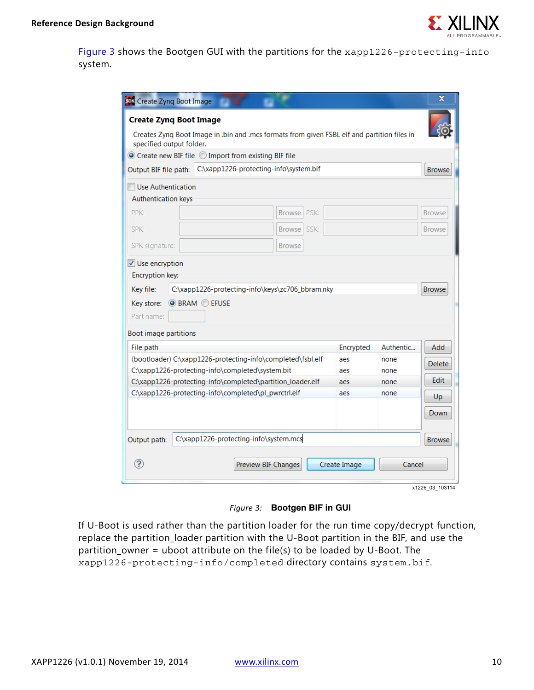

[Figure 3](#page-9-0) shows the Bootgen GUI with the partitions for the xapp1226-protecting-info system.

|                                                                                                                                               | <b>Create Zyng Boot Image</b><br>Creates Zynq Boot Image in .bin and .mcs formats from given FSBL elf and partition files in<br>specified output folder. |                     |              |           |               |  |  |
|-----------------------------------------------------------------------------------------------------------------------------------------------|----------------------------------------------------------------------------------------------------------------------------------------------------------|---------------------|--------------|-----------|---------------|--|--|
|                                                                                                                                               | ● Create new BIF file ◎ Import from existing BIF file<br>C:\xapp1226-protecting-info\system.bif                                                          |                     |              |           |               |  |  |
| Output BIF file path:                                                                                                                         |                                                                                                                                                          |                     |              |           | <b>Browse</b> |  |  |
| Use Authentication                                                                                                                            |                                                                                                                                                          |                     |              |           |               |  |  |
| <b>Authentication keys</b>                                                                                                                    |                                                                                                                                                          |                     |              |           |               |  |  |
| PPK:                                                                                                                                          |                                                                                                                                                          | PSK:<br>Browse      |              |           | <b>Browse</b> |  |  |
| SPK:                                                                                                                                          |                                                                                                                                                          | Browse SSK:         |              |           | <b>Browse</b> |  |  |
| SPK signature:                                                                                                                                |                                                                                                                                                          | <b>Browse</b>       |              |           |               |  |  |
| Key store:<br>Part name:<br>Boot image partitions                                                                                             | <b>O</b> BRAM C EFUSE                                                                                                                                    |                     |              |           |               |  |  |
| File path                                                                                                                                     |                                                                                                                                                          |                     | Encrypted    | Authentic | Add           |  |  |
| (bootloader) C:\xapp1226-protecting-info\completed\fsbl.elf<br>aes<br>none<br>C:\xapp1226-protecting-info\completed\system.bit<br>aes<br>none |                                                                                                                                                          |                     | Delete       |           |               |  |  |
| C:\xapp1226-protecting-info\completed\partition_loader.elf<br>aes<br>none                                                                     |                                                                                                                                                          |                     | Edit         |           |               |  |  |
|                                                                                                                                               | C:\xapp1226-protecting-info\completed\pl_pwrctrl.elf                                                                                                     |                     | aes          | none      | Up            |  |  |
|                                                                                                                                               |                                                                                                                                                          |                     |              |           | Down          |  |  |
| Output path:                                                                                                                                  | C:\xapp1226-protecting-info\system.mcs                                                                                                                   |                     |              |           | <b>Browse</b> |  |  |
| ⊘                                                                                                                                             |                                                                                                                                                          | Preview BIF Changes | Create Image | Cancel    |               |  |  |

*Figure 3:* **Bootgen BIF in GUI**

<span id="page-9-0"></span>If U-Boot is used rather than the partition loader for the run time copy/decrypt function, replace the partition\_loader partition with the U-Boot partition in the BIF, and use the partition\_owner = uboot attribute on the file(s) to be loaded by U-Boot. The xapp1226-protecting-info/completed directory contains system.bif.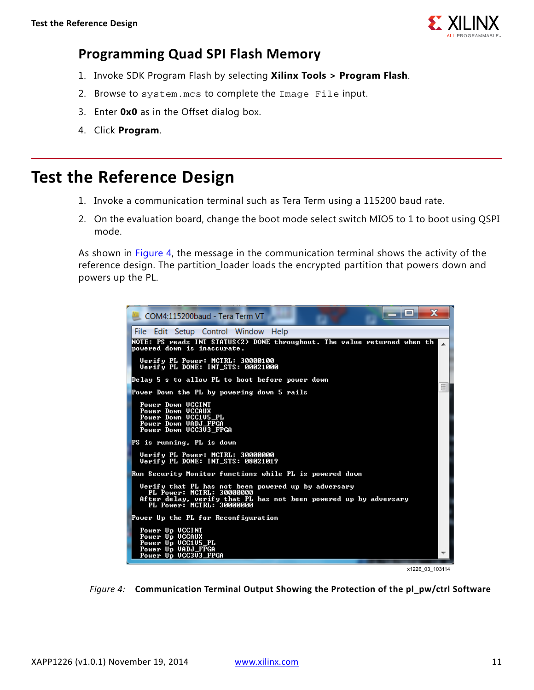

### **Programming Quad SPI Flash Memory**

- 1. Invoke SDK Program Flash by selecting **Xilinx Tools > Program Flash**.
- 2. Browse to system.mcs to complete the Image File input.
- 3. Enter **0x0** as in the Offset dialog box.
- 4. Click **Program**.

## <span id="page-10-0"></span>**Test the Reference Design**

- 1. Invoke a communication terminal such as Tera Term using a 115200 baud rate.
- 2. On the evaluation board, change the boot mode select switch MIO5 to 1 to boot using QSPI mode.

As shown in [Figure 4,](#page-10-1) the message in the communication terminal shows the activity of the reference design. The partition\_loader loads the encrypted partition that powers down and powers up the PL.

<span id="page-10-1"></span>

x1226 03 103114

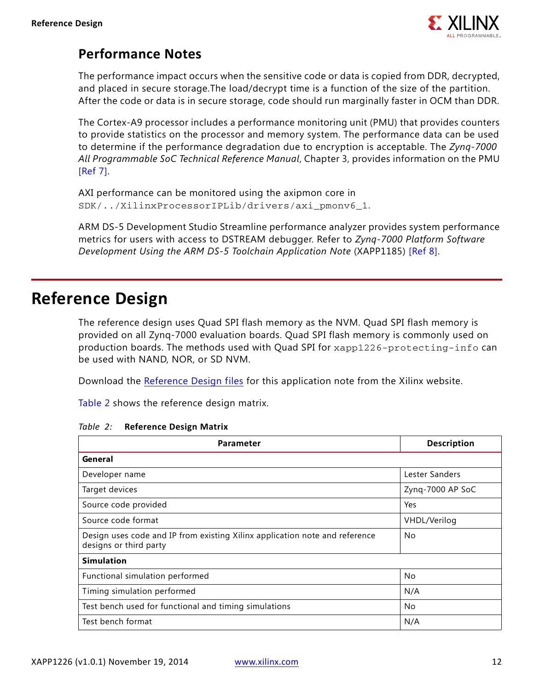

### **Performance Notes**

The performance impact occurs when the sensitive code or data is copied from DDR, decrypted, and placed in secure storage.The load/decrypt time is a function of the size of the partition. After the code or data is in secure storage, code should run marginally faster in OCM than DDR.

The Cortex-A9 processor includes a performance monitoring unit (PMU) that provides counters to provide statistics on the processor and memory system. The performance data can be used to determine if the performance degradation due to encryption is acceptable. The *Zynq-7000 All Programmable SoC Technical Reference Manual*, Chapter 3, provides information on the PMU [\[Ref 7\]](#page-12-7).

```
AXI performance can be monitored using the axipmon core in 
SDK/../XilinxProcessorIPLib/drivers/axi_pmonv6_1.
```
ARM DS-5 Development Studio Streamline performance analyzer provides system performance metrics for users with access to DSTREAM debugger. Refer to *Zynq-7000 Platform Software Development Using the ARM DS-5 Toolchain Application Note* (XAPP1185) [\[Ref 8\]](#page-12-6).

## <span id="page-11-0"></span>**Reference Design**

The reference design uses Quad SPI flash memory as the NVM. Quad SPI flash memory is provided on all Zynq-7000 evaluation boards. Quad SPI flash memory is commonly used on production boards. The methods used with Quad SPI for xapp1226-protecting-info can be used with NAND, NOR, or SD NVM.

Download the [Reference Design files](https://secure.xilinx.com/webreg/clickthrough.do?cid=375910) for this application note from the Xilinx website.

[Table 2](#page-11-1) shows the reference design matrix.

| Parameter                                                                                             | <b>Description</b> |
|-------------------------------------------------------------------------------------------------------|--------------------|
| General                                                                                               |                    |
| Developer name                                                                                        | Lester Sanders     |
| Target devices                                                                                        | Zyng-7000 AP SoC   |
| Source code provided                                                                                  | Yes                |
| Source code format                                                                                    | VHDL/Verilog       |
| Design uses code and IP from existing Xilinx application note and reference<br>designs or third party | No                 |
| <b>Simulation</b>                                                                                     |                    |
| Functional simulation performed                                                                       | No                 |
| Timing simulation performed                                                                           | N/A                |
| Test bench used for functional and timing simulations                                                 | No                 |
| Test bench format                                                                                     | N/A                |

<span id="page-11-1"></span>*Table 2:* **Reference Design Matrix**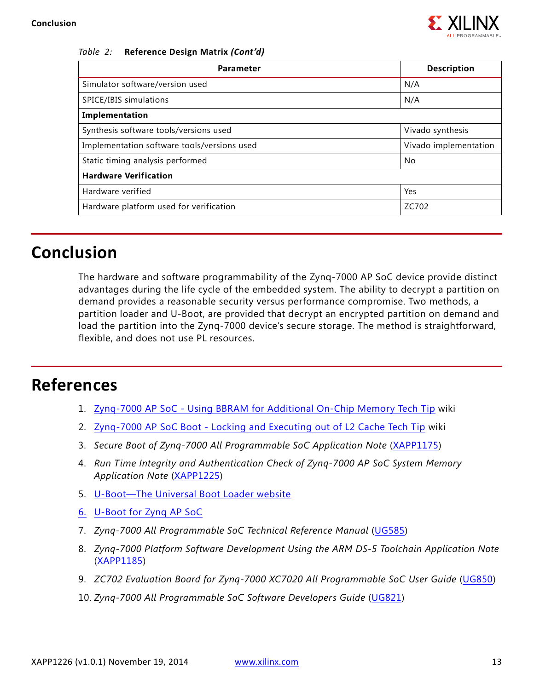

#### *Table 2:* **Reference Design Matrix** *(Cont'd)*

| Parameter                                   | <b>Description</b>    |  |
|---------------------------------------------|-----------------------|--|
| Simulator software/version used             | N/A                   |  |
| SPICE/IBIS simulations                      | N/A                   |  |
| Implementation                              |                       |  |
| Synthesis software tools/versions used      | Vivado synthesis      |  |
| Implementation software tools/versions used | Vivado implementation |  |
| Static timing analysis performed<br>No      |                       |  |
| <b>Hardware Verification</b>                |                       |  |
| Hardware verified                           | Yes                   |  |
| Hardware platform used for verification     | ZC702                 |  |

## **Conclusion**

The hardware and software programmability of the Zynq-7000 AP SoC device provide distinct advantages during the life cycle of the embedded system. The ability to decrypt a partition on demand provides a reasonable security versus performance compromise. Two methods, a partition loader and U-Boot, are provided that decrypt an encrypted partition on demand and load the partition into the Zynq-7000 device's secure storage. The method is straightforward, flexible, and does not use PL resources.

## **References**

- <span id="page-12-0"></span>1. [Zynq-7000 AP SoC - Using BBRAM for Additional On-Chip Memory Tech Tip](http://www.wiki.xilinx.com/Zynq-7000+AP+SoC+-+Using+BRAM+for+Additional+On-Chip+Memory+Tech+Tip) wiki
- <span id="page-12-1"></span>2. [Zynq-7000 AP SoC Boot - Locking and Executing out of L2 Cache Tech Tip](http://www.wiki.xilinx.com/Zynq-7000+AP+SoC+Boot+-+Locking+and+Executing+out+of+L2+Cache+Tech+Tip) wiki
- <span id="page-12-2"></span>3. Secure Boot of Zyng-7000 All Programmable SoC Application Note ([XAPP1175](http://www.xilinx.com/support/documentation/application_notes/xapp1175_zynq_secure_boot.pdf))
- <span id="page-12-3"></span>4. *Run Time Integrity and Authentication Check of Zynq-7000 AP SoC System Memory Application Note* ([XAPP1225](http://www.xilinx.com/support/documentation/application_notes/xapp1225-rtic.pdf))
- <span id="page-12-4"></span>5. [U-Boot—The Universal Boot Loader website](www.denx.de/wiki/U-Boot)
- <span id="page-12-5"></span>6. [U-Boot for Zynq AP SoC](www.wiki.xilinx.com/Build+U-Boot#Zynq)
- <span id="page-12-7"></span>7. *Zynq-7000 All Programmable SoC Technical Reference Manual* ([UG585](http://www.xilinx.com/support/documentation/user_guides/ug585-Zynq-7000-TRM.pdf))
- <span id="page-12-6"></span>8. *Zynq-7000 Platform Software Development Using the ARM DS-5 Toolchain Application Note*  ([XAPP1185\)](http://www.xilinx.com/support/documentation/application_notes/xapp1185-Zynq-software-development-with-DS-5.pdf)
- 9. *ZC702 Evaluation Board for Zynq-7000 XC7020 All Programmable SoC User Guide* ([UG850](http://www.xilinx.com/support/documentation/boards_and_kits/zc702_zvik/ug850-zc702-eval-bd.pdf))
- 10. *Zynq-7000 All Programmable SoC Software Developers Guide* [\(](http://www.xilinx.com/support/documentation/user_guides/ug821-zynq-7000-swdev.pdf)UG821)